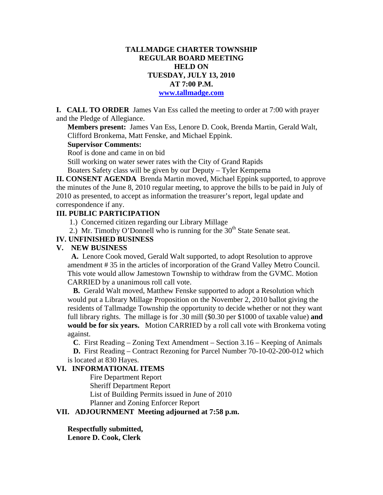### **TALLMADGE CHARTER TOWNSHIP REGULAR BOARD MEETING HELD ON TUESDAY, JULY 13, 2010 AT 7:00 P.M. www.tallmadge.com**

**I. CALL TO ORDER** James Van Ess called the meeting to order at 7:00 with prayer and the Pledge of Allegiance.

**Members present:** James Van Ess, Lenore D. Cook, Brenda Martin, Gerald Walt, Clifford Bronkema, Matt Fenske, and Michael Eppink.

#### **Supervisor Comments:**

Roof is done and came in on bid

Still working on water sewer rates with the City of Grand Rapids Boaters Safety class will be given by our Deputy – Tyler Kempema

**II. CONSENT AGENDA** Brenda Martin moved, Michael Eppink supported, to approve the minutes of the June 8, 2010 regular meeting, to approve the bills to be paid in July of 2010 as presented, to accept as information the treasurer's report, legal update and correspondence if any.

### **III. PUBLIC PARTICIPATION**

- 1.) Concerned citizen regarding our Library Millage
- 2.) Mr. Timothy O'Donnell who is running for the  $30<sup>th</sup>$  State Senate seat.

### **IV. UNFINISHED BUSINESS**

#### **V. NEW BUSINESS**

 **A.** Lenore Cook moved, Gerald Walt supported, to adopt Resolution to approve amendment # 35 in the articles of incorporation of the Grand Valley Metro Council. This vote would allow Jamestown Township to withdraw from the GVMC. Motion CARRIED by a unanimous roll call vote.

 **B.** Gerald Walt moved, Matthew Fenske supported to adopt a Resolution which would put a Library Millage Proposition on the November 2, 2010 ballot giving the residents of Tallmadge Township the opportunity to decide whether or not they want full library rights. The millage is for .30 mill (\$0.30 per \$1000 of taxable value) **and would be for six years.** Motion CARRIED by a roll call vote with Bronkema voting against.

 **C**. First Reading – Zoning Text Amendment – Section 3.16 – Keeping of Animals  **D.** First Reading – Contract Rezoning for Parcel Number 70-10-02-200-012 which is located at 830 Hayes.

## **VI. INFORMATIONAL ITEMS**

Fire Department Report Sheriff Department Report List of Building Permits issued in June of 2010 Planner and Zoning Enforcer Report

# **VII. ADJOURNMENT Meeting adjourned at 7:58 p.m.**

**Respectfully submitted,** 

**Lenore D. Cook, Clerk**